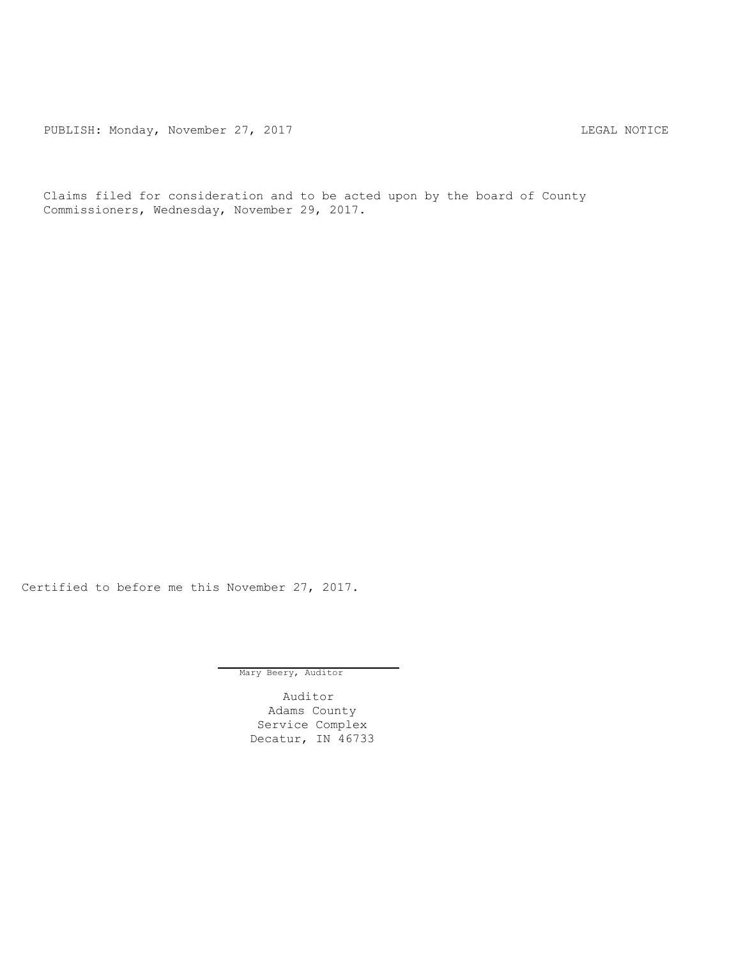PUBLISH: Monday, November 27, 2017 CHANGE CONSERVERT MOTICE

Claims filed for consideration and to be acted upon by the board of County Commissioners, Wednesday, November 29, 2017.

Certified to before me this November 27, 2017.

Mary Beery, Auditor

Auditor Adams County Service Complex Decatur, IN 46733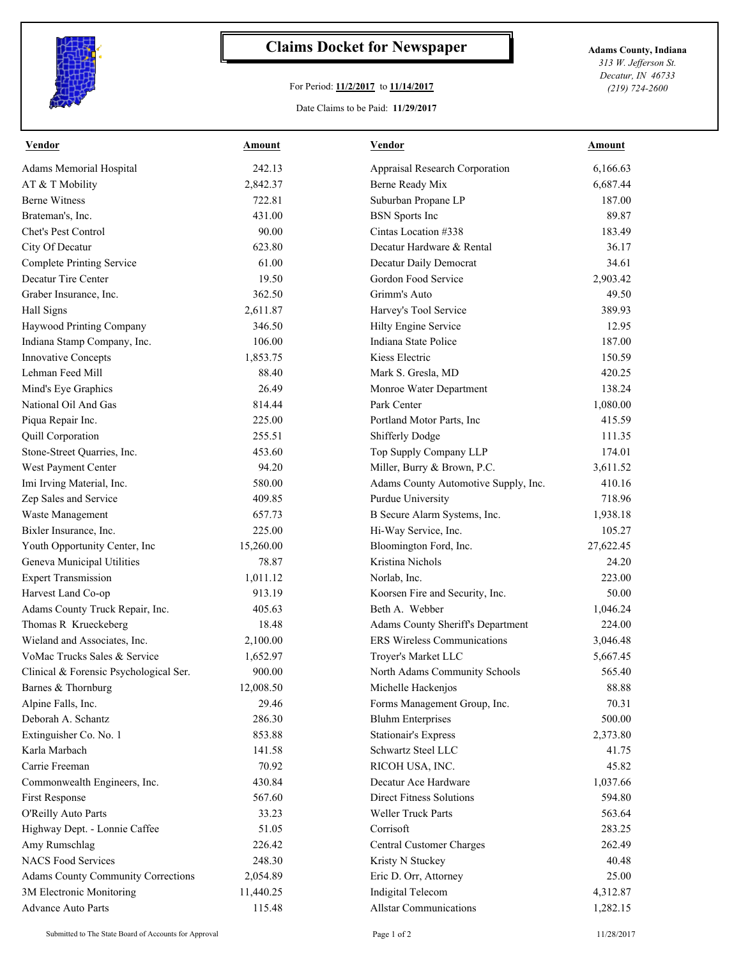

## **Claims Docket for Newspaper Adams County, Indiana**

## For Period: **11/2/2017** to **11/14/2017**

*313 W. Jefferson St. Decatur, IN 46733 (219) 724-2600*

## Date Claims to be Paid: **11/29/2017**

| <b>Vendor</b>                                                | <b>Amount</b> | <b>Vendor</b>                        | <b>Amount</b> |
|--------------------------------------------------------------|---------------|--------------------------------------|---------------|
| Adams Memorial Hospital                                      | 242.13        | Appraisal Research Corporation       | 6.166.63      |
| AT & T Mobility                                              | 2,842.37      | Berne Ready Mix                      | 6,687.44      |
| <b>Berne Witness</b>                                         | 722.81        | Suburban Propane LP                  | 187.00        |
| Brateman's, Inc.                                             | 431.00        | <b>BSN</b> Sports Inc                | 89.87         |
| Chet's Pest Control                                          | 90.00         | Cintas Location #338                 | 183.49        |
| City Of Decatur                                              | 623.80        | Decatur Hardware & Rental            | 36.17         |
| <b>Complete Printing Service</b>                             | 61.00         | Decatur Daily Democrat               | 34.61         |
| Decatur Tire Center                                          | 19.50         | Gordon Food Service                  | 2,903.42      |
| Graber Insurance, Inc.                                       | 362.50        | Grimm's Auto                         | 49.50         |
| Hall Signs                                                   | 2,611.87      | Harvey's Tool Service                | 389.93        |
| Haywood Printing Company                                     | 346.50        | Hilty Engine Service                 | 12.95         |
| Indiana Stamp Company, Inc.                                  | 106.00        | Indiana State Police                 | 187.00        |
| Innovative Concepts                                          | 1,853.75      | Kiess Electric                       | 150.59        |
| Lehman Feed Mill                                             | 88.40         | Mark S. Gresla, MD                   | 420.25        |
| Mind's Eye Graphics                                          | 26.49         | Monroe Water Department              | 138.24        |
| National Oil And Gas                                         | 814.44        | Park Center                          | 1,080.00      |
| Piqua Repair Inc.                                            | 225.00        | Portland Motor Parts, Inc            | 415.59        |
| Quill Corporation                                            | 255.51        | Shifferly Dodge                      | 111.35        |
| Stone-Street Quarries, Inc.                                  | 453.60        | Top Supply Company LLP               | 174.01        |
| West Payment Center                                          | 94.20         | Miller, Burry & Brown, P.C.          | 3,611.52      |
| Imi Irving Material, Inc.                                    | 580.00        | Adams County Automotive Supply, Inc. | 410.16        |
| Zep Sales and Service                                        | 409.85        | Purdue University                    | 718.96        |
| Waste Management                                             | 657.73        | B Secure Alarm Systems, Inc.         | 1,938.18      |
| Bixler Insurance, Inc.                                       | 225.00        | Hi-Way Service, Inc.                 | 105.27        |
| Youth Opportunity Center, Inc                                | 15,260.00     | Bloomington Ford, Inc.               | 27,622.45     |
| Geneva Municipal Utilities                                   | 78.87         | Kristina Nichols                     | 24.20         |
| <b>Expert Transmission</b>                                   | 1,011.12      | Norlab, Inc.                         | 223.00        |
| Harvest Land Co-op                                           | 913.19        | Koorsen Fire and Security, Inc.      | 50.00         |
| Adams County Truck Repair, Inc.                              | 405.63        | Beth A. Webber                       | 1,046.24      |
| Thomas R Krueckeberg                                         | 18.48         | Adams County Sheriff's Department    | 224.00        |
| Wieland and Associates, Inc.                                 | 2,100.00      | ERS Wireless Communications          | 3,046.48      |
| VoMac Trucks Sales & Service                                 | 1,652.97      | Troyer's Market LLC                  | 5,667.45      |
|                                                              | 900.00        | North Adams Community Schools        | 565.40        |
| Clinical & Forensic Psychological Ser.<br>Barnes & Thornburg | 12,008.50     | Michelle Hackenjos                   | 88.88         |
|                                                              | 29.46         |                                      | 70.31         |
| Alpine Falls, Inc.<br>Deborah A. Schantz                     | 286.30        | Forms Management Group, Inc.         |               |
|                                                              |               | <b>Bluhm Enterprises</b>             | 500.00        |
| Extinguisher Co. No. 1                                       | 853.88        | <b>Stationair's Express</b>          | 2,373.80      |
| Karla Marbach                                                | 141.58        | Schwartz Steel LLC                   | 41.75         |
| Carrie Freeman                                               | 70.92         | RICOH USA, INC.                      | 45.82         |
| Commonwealth Engineers, Inc.                                 | 430.84        | Decatur Ace Hardware                 | 1,037.66      |
| First Response                                               | 567.60        | <b>Direct Fitness Solutions</b>      | 594.80        |
| O'Reilly Auto Parts                                          | 33.23         | Weller Truck Parts                   | 563.64        |
| Highway Dept. - Lonnie Caffee                                | 51.05         | Corrisoft                            | 283.25        |
| Amy Rumschlag                                                | 226.42        | Central Customer Charges             | 262.49        |
| <b>NACS Food Services</b>                                    | 248.30        | Kristy N Stuckey                     | 40.48         |
| Adams County Community Corrections                           | 2,054.89      | Eric D. Orr, Attorney                | 25.00         |
| 3M Electronic Monitoring                                     | 11,440.25     | Indigital Telecom                    | 4,312.87      |
| <b>Advance Auto Parts</b>                                    | 115.48        | <b>Allstar Communications</b>        | 1,282.15      |